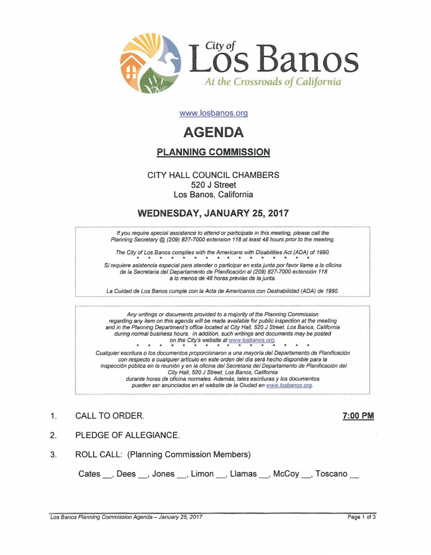

www.losbanos.org

# **AGENDA**

# PLANNING COMMISSION

### CITY HALL COUNCIL CHAMBERS 520 J Street Los Banos, California

# WEDNESDAY, JANUARY 25,2017

If you require special assistance to attend or participate in this meeting, please call the Planning Secretary @ (209) 827-7000 extension 118 at least 48 hours prior to the meeting.

The City of Los Banos complies with the Americans with Disabilities Act *(ADA)* of 1990.

Si requiere asistencia especial para atender 0 participar en esla junta por favor Jlame a /a oficina de la Secretaria del Departamento de Planificación al (209) 827-7000 extensión 118 a <sup>10</sup> *menes* de 48 horas previas de la junta.

La Guidad de Los Banos cumple con la Acta de Americanos con Deshabilidad (ADA) de 1990.

Any writings or documents provided to a majority of the Planning Commission regarding any item on this agenda will be made available for public inspection at the meeting and in the Planning Department's office located at City Hall, 520 J Street, Los Banos, California during normal business hours. In addition, such writings and documents may be posted on the City's website at www.losbanos.oro. • • • • • • \* • • • • \* • • Cualquier escritura 0 los documentos proporcionaron a una mayoria del Departamento de Planiflcaci6n con respecto a cualquier articulo en este orden del dia sera hecho disponible para la inspecci6n publica en la reuni6n y en la oficina del Secretaria del Departamento de Planificaci6n del City Hall, 520 J Street, Los Banos, California

durante horas de oficina normales. Además, tales escrituras y los documentos pueden ser anunciados en el website de la Ciudad en www.losbanos.org.

## 1. CALL TO ORDER. 2002 12:00 PM

- 2. PLEDGE OF ALLEGIANCE.
- 3. ROLL CALL: (Planning Commission Members)

Cates \_\_, Dees \_\_, Jones \_\_, Limon \_\_, Llamas \_\_, McCoy \_\_, Toscano \_\_

Los Banos Planning Commission Agenda - January 25, 2017 **Page 1 of 3** and 2018 Page 1 of 3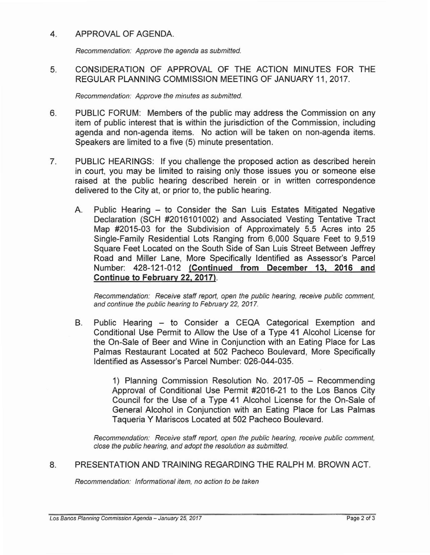#### 4. APPROVAL OF AGENDA.

Recommendation: Approve the agenda as submitted.

5. CONSIDERATION OF APPROVAL OF THE ACTION MINUTES FOR THE REGULAR PLANNING COMMISSION MEETING OF JANUARY 11,2017.

Recommendation: Approve the minutes as submitted.

- 6. PUBLIC FORUM: Members of the public may address the Commission on any item of public interest that is within the jurisdiction of the Commission, including agenda and non-agenda items. No action will be taken on non-agenda items. Speakers are limited to a five (5) minute presentation.
- 7. PUBLIC HEARINGS: If you challenge the proposed action as described herein in court, you may be limited to raising only those issues you or someone else raised at the public hearing described herein or in written correspondence delivered to the City at, or prior to, the public hearing.
	- A. Public Hearing to Consider the San Luis Estates Mitigated Negative Declaration (SCH #2016101002) and Associated Vesting Tentative Tract Map #2015-03 for the Subdivision of Approximately 5.5 Acres into 25 Single-Family Residential Lots Ranging from 6,000 Square Feet to 9,519 Square Feet Located on the South Side of San Luis Street Between Jeffrey Road and Miller Lane, More Specifically Identified as Assessor's Parcel Number: 428-121-012 (Continued from December 13, 2016 and Continue to February 22, 2017).

Recommendation: Receive staff report, open the public hearing, receive public comment, and continue the public hearing to February 22, 2017.

B. Public Hearing - to Consider a CEQA Categorical Exemption and Conditional Use Permit to Allow the Use of a Type 41 Alcohol License for the On-Sale of Beer and Wine in Conjunction with an Eating Place for Las Palmas Restaurant Located at 502 Pacheco Boulevard, More Specifically Identified as Assessor's Parcel Number: 026-044-035.

> 1) Planning Commission Resolution No. 2017-05 - Recommending Approval of Conditional Use Permit #2016-21 to the Los Banos City Council for the Use of a Type 41 Alcohol License for the On-Sale of General Alcohol in Conjunction with an Eating Place for Las Palmas Taqueria Y Mariscos Located at 502 Pacheco Boulevard.

Recommendation: Receive staff report, open the public hearing, receive public comment, close the public hearing, and adopt the resolution as submitted.

#### 8. PRESENTATION AND TRAINING REGARDING THE RALPH M. BROWN ACT.

Recommendation: Informational item, no action to be taken